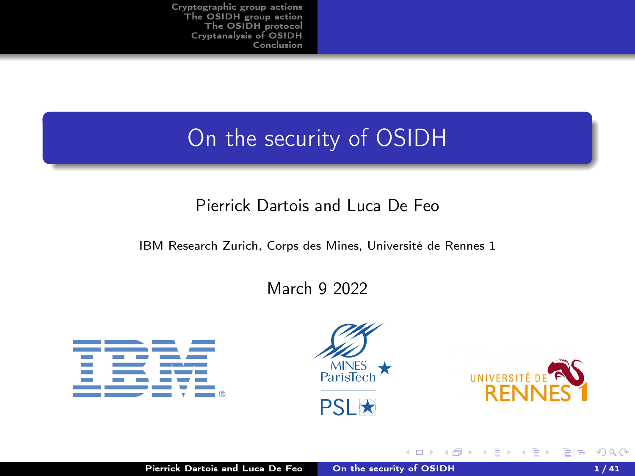# <span id="page-0-1"></span><span id="page-0-0"></span>On the security of OSIDH

### Pierrick Dartois and Luca De Feo

#### IBM Research Zurich, Corps des Mines, Université de Rennes 1

#### March 9 2022





4 0 8

a



重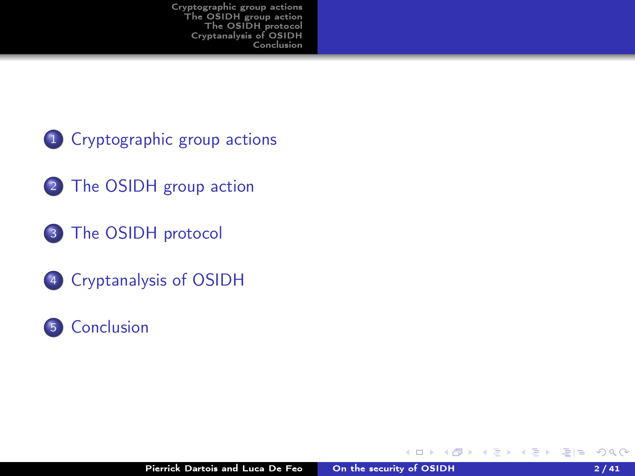- 1 [Cryptographic group actions](#page-2-0)
- 2 [The OSIDH group action](#page-9-0)
- <sup>3</sup> [The OSIDH protocol](#page-31-0)
- <sup>4</sup> [Cryptanalysis of OSIDH](#page-38-0)
- <sup>5</sup> [Conclusion](#page-56-0)

4 D F

. All

化重变 化重变化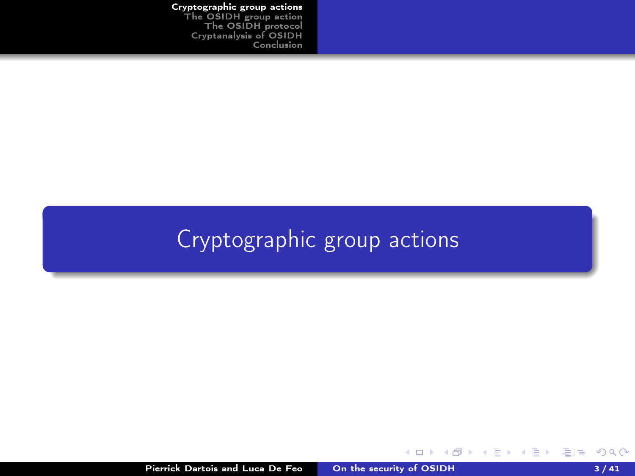#### Pierrick Dartois and Luca De Feo [On the security of OSIDH](#page-0-0) 3/41

K ロ > K @ > K 글 > K 글 > ( 글)= 19 Q Q ^

<span id="page-2-0"></span>[Cryptographic group actions](#page-2-0) [The OSIDH group action](#page-9-0) [The OSIDH protocol](#page-31-0) [Cryptanalysis of OSIDH](#page-38-0) **[Conclusion](#page-56-0)** 

# [Cryptographic group actions](#page-2-0)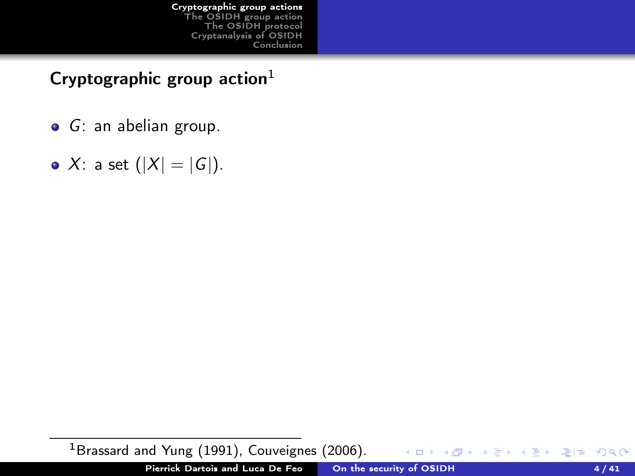## Cryptographic group action $1$

- G: an abelian group.
- X: a set  $(|X| = |G|)$ .

<sup>1</sup>Brassard and Yung (1991), Couveignes (2006).  $\leftarrow$   $\Box$ 듣▶ 토!ㅌ ⊙ Q ⊙ Pierrick Dartois and Luca De Feo [On the security of OSIDH](#page-0-0) 4/41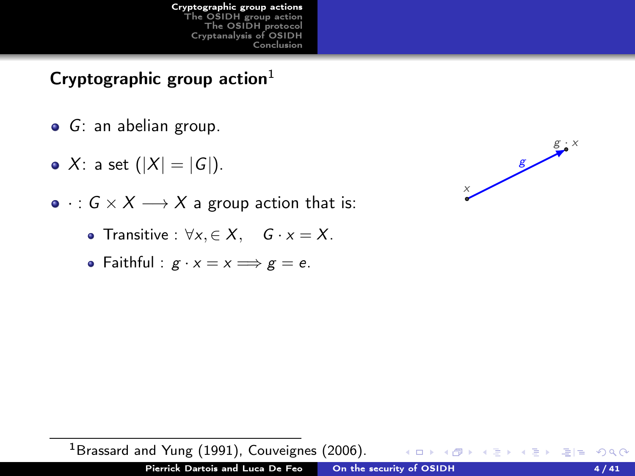## Cryptographic group action $1$

- G: an abelian group.
- X: a set  $(|X| = |G|)$ .
- $: G \times X \longrightarrow X$  a group action that is:
	- Transitive :  $\forall x, \in X$ ,  $G \cdot x = X$ .
	- Faithful :  $g \cdot x = x \Longrightarrow g = e$ .



<sup>1</sup>Brassard and Yung (1991), Couveignes (2006). K 등 X K 등 X 등 등 10 K 9 Q Q\* 4 00 16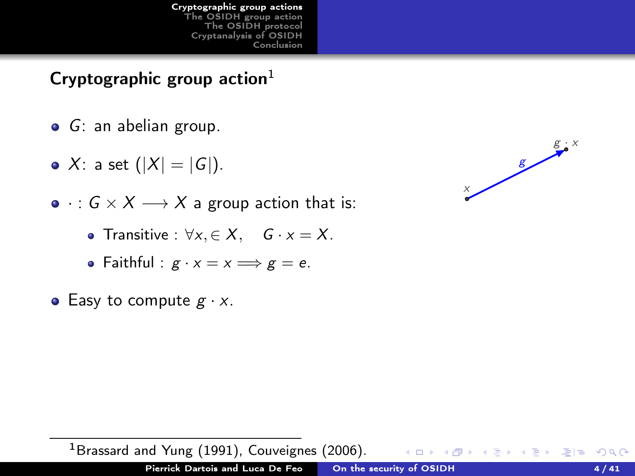## Cryptographic group action $1$

- G: an abelian group.
- X: a set  $(|X| = |G|)$ .
- $: G \times X \longrightarrow X$  a group action that is:
	- Transitive :  $\forall x, \in X$ ,  $G \cdot x = X$ .
	- Faithful :  $g \cdot x = x \Longrightarrow g = e$ .
- Easy to compute  $g \cdot x$ .



<sup>1</sup>Brassard and Yung (1991), Couveignes (2006). K 등 X K 등 X 등 등 10 K 9 Q Q\* 4 00 16 Pierrick Dartois and Luca De Feo [On the security of OSIDH](#page-0-0) 4/41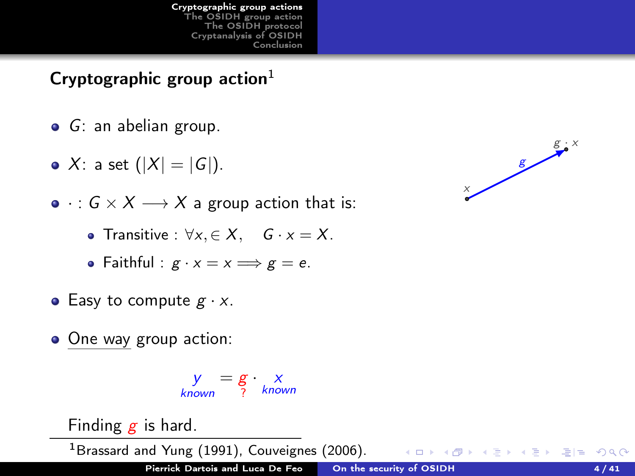## Cryptographic group action $1$

- G: an abelian group.
- X: a set  $(|X| = |G|)$ .
- $: G \times X \longrightarrow X$  a group action that is:
	- Transitive :  $\forall x, \in X$ ,  $G \cdot x = X$ .
	- Faithful :  $g \cdot x = x \Longrightarrow g = e$ .
- Easy to compute  $g \cdot x$ .
- One way group action:

$$
y = g \cdot x
$$
<sub>known</sub>

Finding  $g$  is hard.

<sup>1</sup>Brassard and Yung (1991), Couveignes (2006).

( □ ) ( n )



∢ 끝 ▶ ४ 끝 ▶ [ 꽃] 끝 19 여 0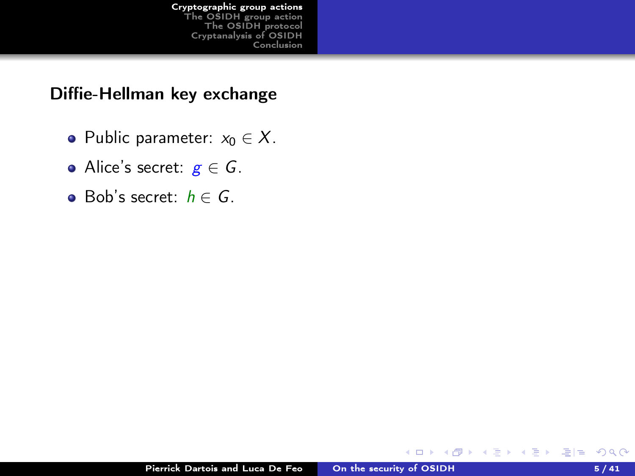#### Diffie-Hellman key exchange

- Public parameter:  $x_0 \in X$ .
- Alice's secret:  $g \in G$ .
- $\bullet$  Bob's secret:  $h \in G$ .

4 0 8

a

 $\alpha = 1$ 

∍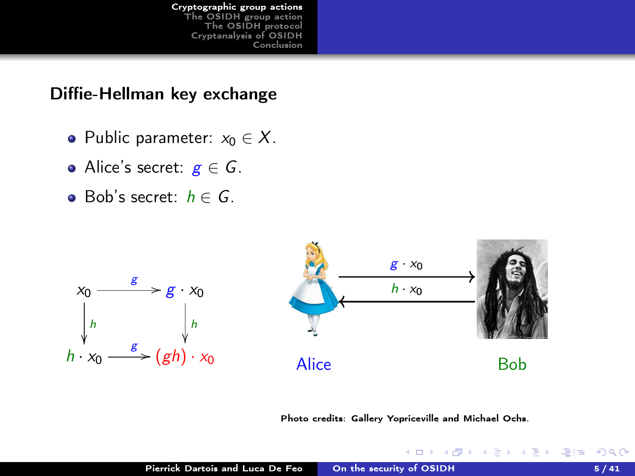#### <span id="page-8-0"></span>Diffie-Hellman key exchange

- Public parameter:  $x_0 \in X$ .
- Alice's secret:  $g \in G$ .
- **•** Bob's secret:  $h \in G$ .



Photo credits: Gallery Yopriceville and Michael Ochs.

4 0 8  $\leftarrow$  ∢ 끝 ▶ ४ 끝 ▶ [ 꽃] 끝 19 여 0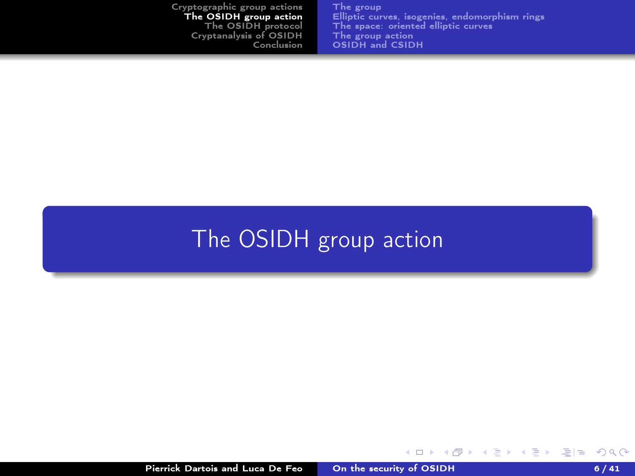<span id="page-9-0"></span>

| Cryptographic group actions | The group                                      |
|-----------------------------|------------------------------------------------|
| The OSIDH group action      | Elliptic curves, isogenies, endomorphism rings |
| The OSIDH protocol          | The space: oriented elliptic curves            |
| Cryptanalysis of OSIDH      | The group action                               |
| Conclusion                  | OSIDH and CSIDH                                |
|                             |                                                |

# [The OSIDH group action](#page-9-0)

4 0 3

K 등 K K 등 K (동)님 (9) Q (9)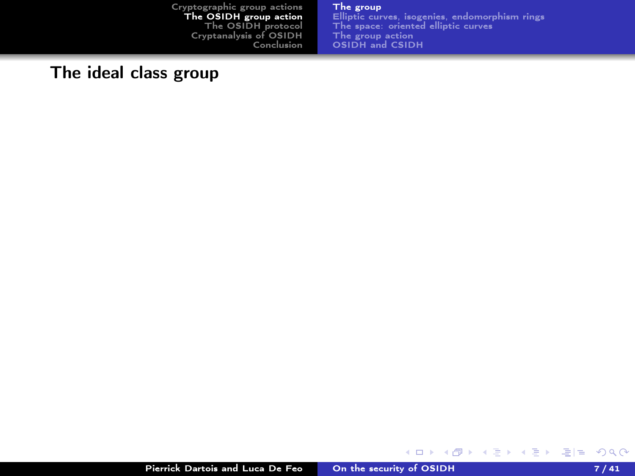#### [The group](#page-15-0)

[Elliptic curves, isogenies, endomorphism rings](#page-17-0) [The space: oriented elliptic curves](#page-22-0) [The group action](#page-26-0) [OSIDH and CSIDH](#page-28-0)

### <span id="page-10-0"></span>The ideal class group

K ロ ▶ K @ ▶ K 글 ▶ K 글 ▶ [로] = 19 Q Q ^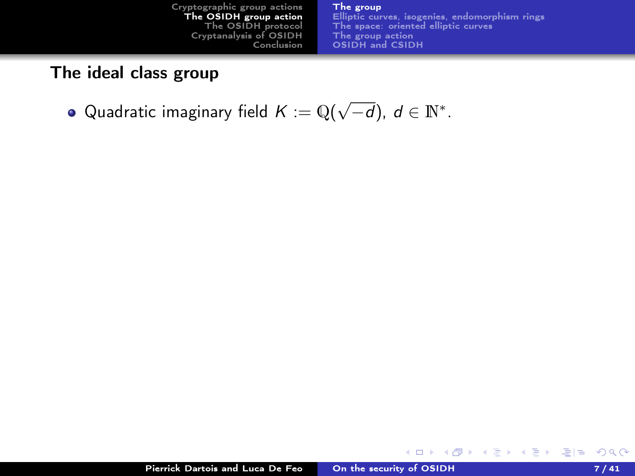#### The ideal class group

Quadratic imaginary field  $K:=\mathbb{Q}(\sqrt{-d}),\ d\in\mathbb{N}^*.$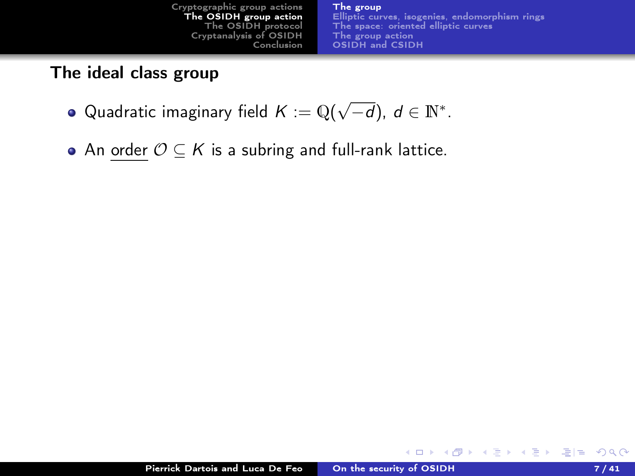#### The ideal class group

- Quadratic imaginary field  $K:=\mathbb{Q}(\sqrt{-d}),\ d\in\mathbb{N}^*.$
- An order  $\mathcal{O} \subseteq K$  is a subring and full-rank lattice.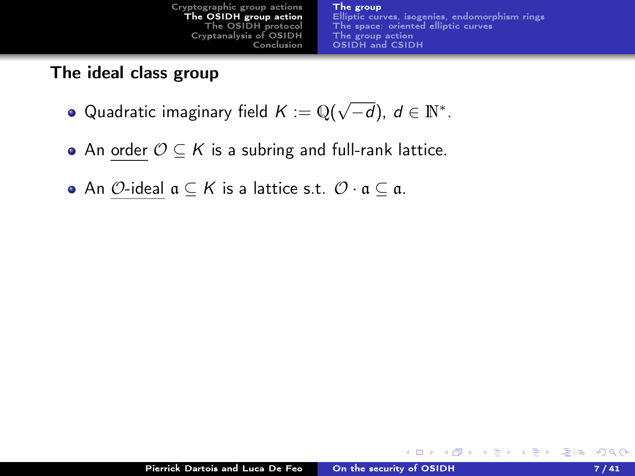#### The ideal class group

- Quadratic imaginary field  $K:=\mathbb{Q}(\sqrt{-d}),\ d\in\mathbb{N}^*.$
- An order  $O \subseteq K$  is a subring and full-rank lattice.
- An  $\mathcal{O}$ -ideal  $\mathfrak{a} \subset \mathcal{K}$  is a lattice s.t.  $\mathcal{O} \cdot \mathfrak{a} \subset \mathfrak{a}$ .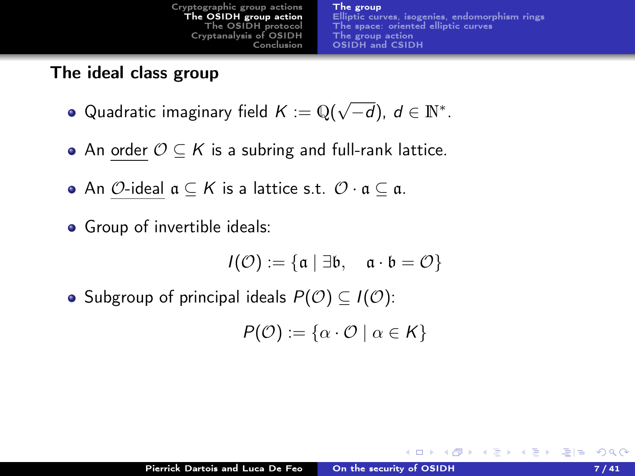#### The ideal class group

- Quadratic imaginary field  $K:=\mathbb{Q}(\sqrt{-d}),\ d\in\mathbb{N}^*.$
- An order  $O \subseteq K$  is a subring and full-rank lattice.
- An  $\mathcal{O}\text{-}$ ideal  $\mathfrak{a} \subseteq \mathcal{K}$  is a lattice s.t.  $\mathcal{O}\cdot \mathfrak{a} \subseteq \mathfrak{a}$ .
- **•** Group of invertible ideals:

$$
\mathit{I}(\mathcal{O}):=\{\mathfrak{a}\mid \exists \mathfrak{b},\quad \mathfrak{a}\cdot \mathfrak{b}=\mathcal{O}\}
$$

• Subgroup of principal ideals  $P(\mathcal{O}) \subset I(\mathcal{O})$ :

$$
P(\mathcal{O}) := \{ \alpha \cdot \mathcal{O} \mid \alpha \in \mathcal{K} \}
$$

**KERKER EE KARA** 

**K ロ ト K 何 ト**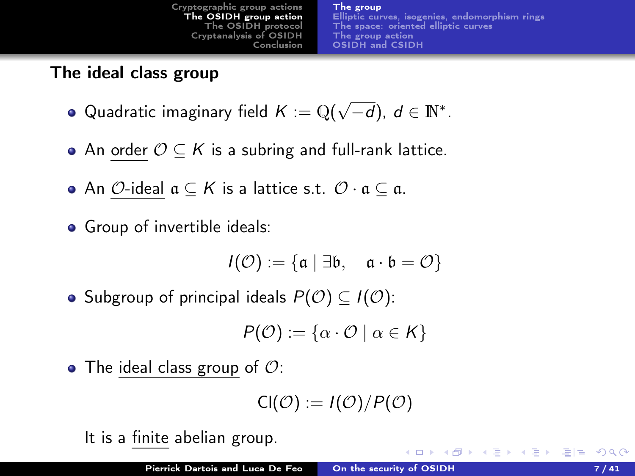### <span id="page-15-0"></span>The ideal class group

- Quadratic imaginary field  $K:=\mathbb{Q}(\sqrt{-d}),\ d\in\mathbb{N}^*.$
- An order  $O \subseteq K$  is a subring and full-rank lattice.
- An  $\mathcal{O}\text{-}$ ideal  $\mathfrak{a} \subseteq K$  is a lattice s.t.  $\mathcal{O}\cdot \mathfrak{a} \subseteq \mathfrak{a}$ .
- Group of invertible ideals:

$$
\mathit{I}(\mathcal{O}):=\{\mathfrak{a}\mid \exists \mathfrak{b},\quad \mathfrak{a}\cdot \mathfrak{b}=\mathcal{O}\}
$$

• Subgroup of principal ideals  $P(\mathcal{O}) \subset I(\mathcal{O})$ :

$$
P(\mathcal{O}) := \{ \alpha \cdot \mathcal{O} \mid \alpha \in \mathsf{K} \}
$$

• The ideal class group of  $\mathcal{O}$ :

$$
\mathsf{Cl}(\mathcal{O}):=I(\mathcal{O})/P(\mathcal{O})
$$

It is a finite abelian group.

K ロ K K R K K B X X B X B H B Y A Q C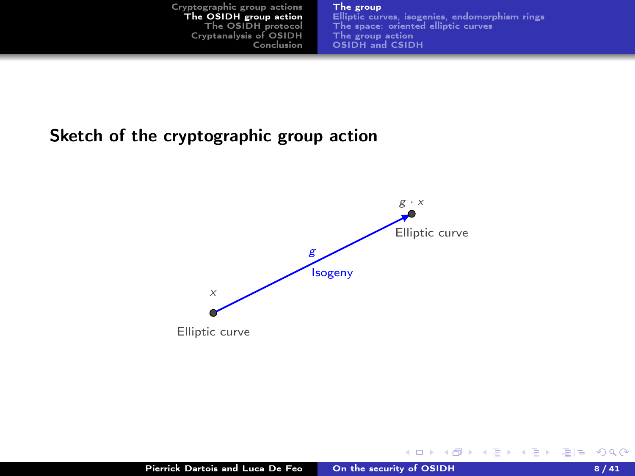#### [The group](#page-10-0)

[Elliptic curves, isogenies, endomorphism rings](#page-17-0) [The space: oriented elliptic curves](#page-22-0) [The group action](#page-26-0) [OSIDH and CSIDH](#page-28-0)

**K ロ ▶ K 何 ▶** 

化重新化重新

#### <span id="page-16-0"></span>Sketch of the cryptographic group action

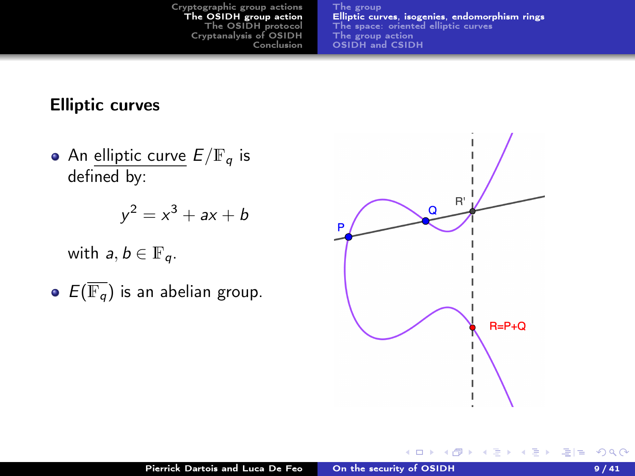#### <span id="page-17-0"></span>Elliptic curves

• An elliptic curve  $E/\mathbb{F}_q$  is defined by:

$$
y^2 = x^3 + ax + b
$$

with  $a, b \in \mathbb{F}_q$ .

 $\bullet$   $E(\overline{\mathbb{F}_q})$  is an abelian group.



化重新 化重新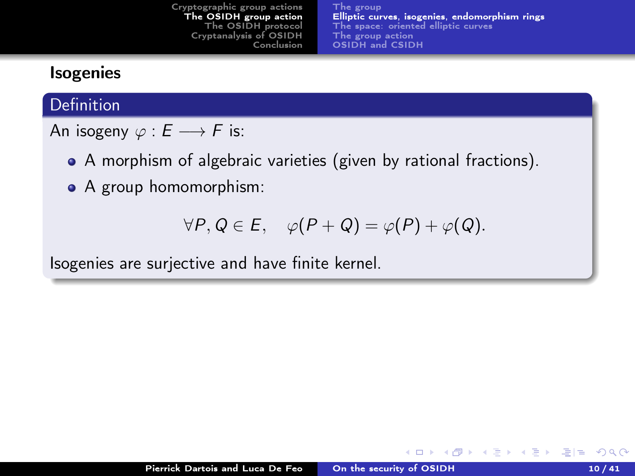#### <span id="page-18-0"></span>Isogenies

#### Definition

An isogeny  $\varphi : E \longrightarrow F$  is:

- A morphism of algebraic varieties (given by rational fractions).
- A group homomorphism:

$$
\forall P, Q \in E, \quad \varphi(P+Q) = \varphi(P) + \varphi(Q).
$$

Isogenies are surjective and have finite kernel.

化重新 化重新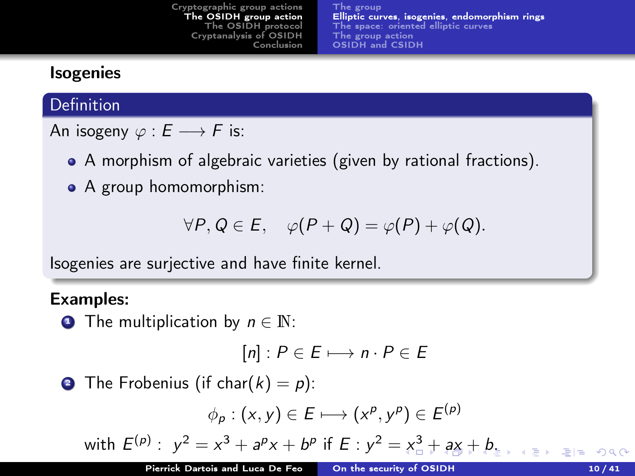### <span id="page-19-0"></span>Isogenies

#### Definition

An isogeny  $\varphi : E \longrightarrow F$  is:

- A morphism of algebraic varieties (given by rational fractions).
- A group homomorphism:

$$
\forall P, Q \in E, \quad \varphi(P+Q) = \varphi(P) + \varphi(Q).
$$

Isogenies are surjective and have finite kernel.

#### Examples:

**• The multiplication by**  $n \in \mathbb{N}$ :

$$
[n]: P \in E \longmapsto n \cdot P \in E
$$

**2** The Frobenius (if char( $k$ ) = p):

$$
\phi_p:(x,y)\in E\longmapsto (x^p,y^p)\in E^{(p)}
$$

with  $E^{(p)}: y^2 = x^3 + a^p x + b^p$  $E^{(p)}: y^2 = x^3 + a^p x + b^p$  $E^{(p)}: y^2 = x^3 + a^p x + b^p$  $E^{(p)}: y^2 = x^3 + a^p x + b^p$  $E^{(p)}: y^2 = x^3 + a^p x + b^p$  $E^{(p)}: y^2 = x^3 + a^p x + b^p$  $E^{(p)}: y^2 = x^3 + a^p x + b^p$  $E^{(p)}: y^2 = x^3 + a^p x + b^p$  $E^{(p)}: y^2 = x^3 + a^p x + b^p$  if  $E: y^2 = x^3 + a^2 + b$ [.](#page-21-0)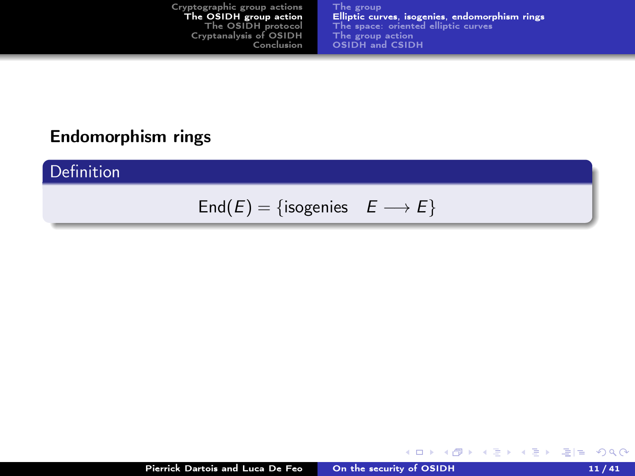[The group](#page-10-0) [Elliptic curves, isogenies, endomorphism rings](#page-17-0) [The space: oriented elliptic curves](#page-22-0) [The group action](#page-26-0) [OSIDH and CSIDH](#page-28-0)

#### <span id="page-20-0"></span>Endomorphism rings

Definition

End(E) = {isogenies  $E \longrightarrow E$ }

K ロ ▶ K @ ▶ K 글 ▶ K 글 ▶ [로] = 19 Q Q ^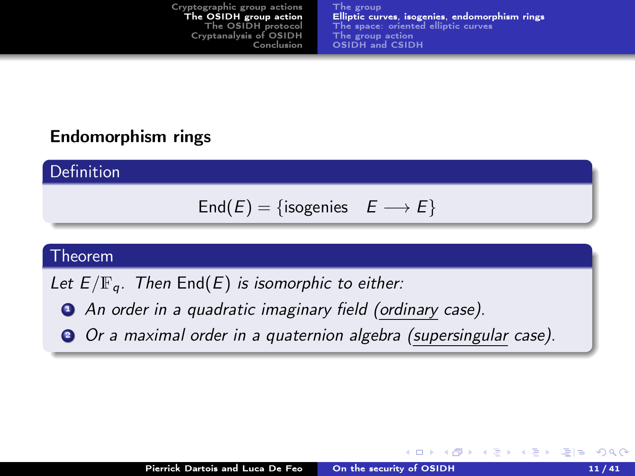#### <span id="page-21-0"></span>Endomorphism rings

Definition

$$
End(E) = {isogenies \tE \longrightarrow E}
$$

#### Theorem

- Let  $E/\mathbb{F}_q$ . Then  $\text{End}(E)$  is isomorphic to either:
	- **•** An order in a quadratic imaginary field (ordinary case).
	- <sup>2</sup> Or a maximal order in a quaternion algebra (supersingular case).

化重变 化重变性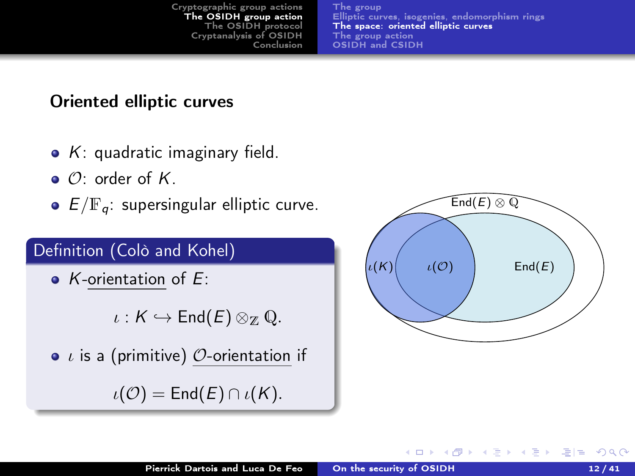[The group](#page-10-0) [Elliptic curves, isogenies, endomorphism rings](#page-17-0) [The space: oriented elliptic curves](#page-22-0) [The group action](#page-26-0) [OSIDH and CSIDH](#page-28-0)

#### <span id="page-22-0"></span>Oriented elliptic curves

- $\bullet$  K: quadratic imaginary field.
- $\bullet$   $\mathcal{O}$  order of K.
- $\bullet$   $E/\mathbb{F}_q$ : supersingular elliptic curve.

#### Definition (Colò and Kohel)

 $\bullet$  K-orientation of E:

 $\iota : K \hookrightarrow \mathsf{End}(E) \otimes_{\mathbb{Z}} \mathbb{Q}.$ 

 $\bullet$  *ι* is a (primitive)  $\mathcal{O}$ -orientation if

 $\iota(\mathcal{O}) = \mathsf{End}(E) \cap \iota(K).$ 

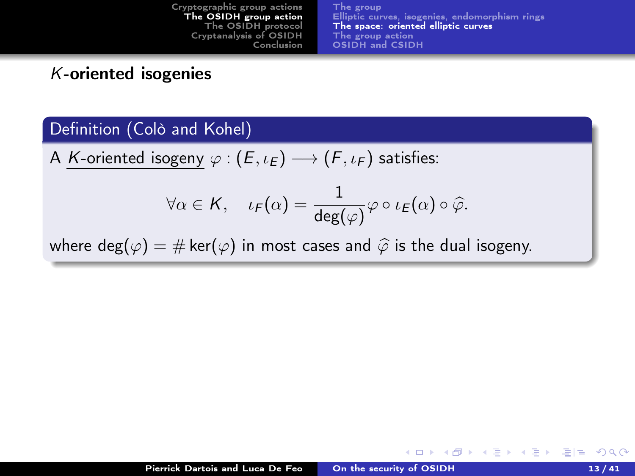#### <span id="page-23-0"></span>K-oriented isogenies

#### Definition (Colò and Kohel)

A K-oriented isogeny  $\varphi : (E, \iota_E) \longrightarrow (F, \iota_F)$  satisfies:

$$
\forall \alpha \in \mathcal{K}, \quad \iota_{\mathcal{F}}(\alpha) = \frac{1}{\deg(\varphi)} \varphi \circ \iota_{\mathcal{E}}(\alpha) \circ \widehat{\varphi}.
$$

where deg( $\varphi$ ) = # ker( $\varphi$ ) in most cases and  $\widehat{\varphi}$  is the dual isogeny.

K ロ K K @ K K 를 K K 를 K (를 H E K) Q (N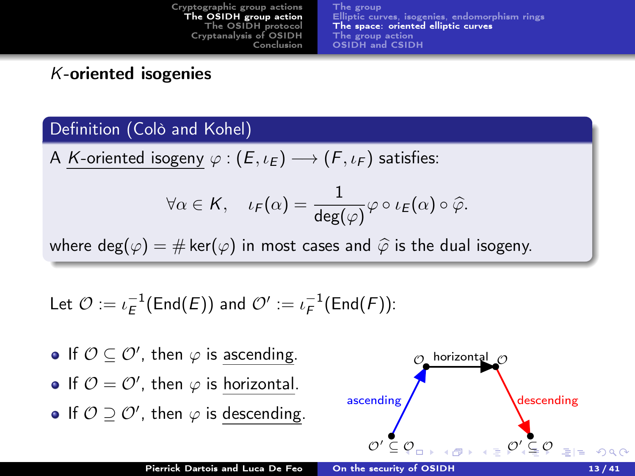#### K-oriented isogenies

#### Definition (Colò and Kohel)

A K-oriented isogeny  $\varphi : (E, \iota_E) \longrightarrow (F, \iota_F)$  satisfies:

$$
\forall \alpha \in \mathcal{K}, \quad \iota_{\mathcal{F}}(\alpha) = \frac{1}{\deg(\varphi)} \varphi \circ \iota_{\mathcal{E}}(\alpha) \circ \widehat{\varphi}.
$$

where deg( $\varphi$ ) = # ker( $\varphi$ ) in most cases and  $\widehat{\varphi}$  is the dual isogeny.

Let 
$$
\mathcal{O} := \iota_E^{-1}(\mathsf{End}(E))
$$
 and  $\mathcal{O}' := \iota_F^{-1}(\mathsf{End}(F))$ :

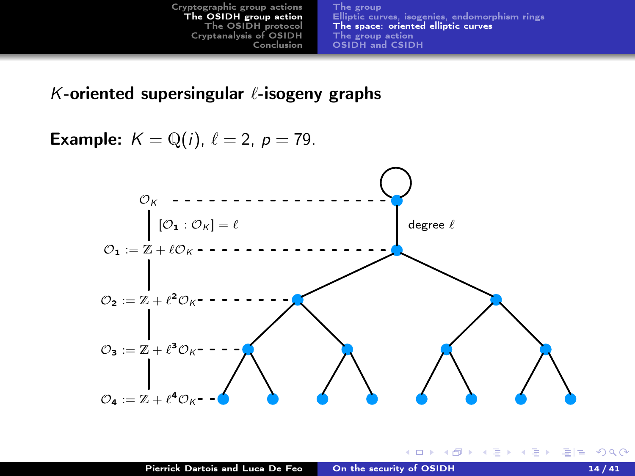#### <span id="page-25-0"></span>K-oriented supersingular  $\ell$ -isogeny graphs

**Example:**  $K = \mathbb{Q}(i)$ ,  $\ell = 2$ ,  $p = 79$ .

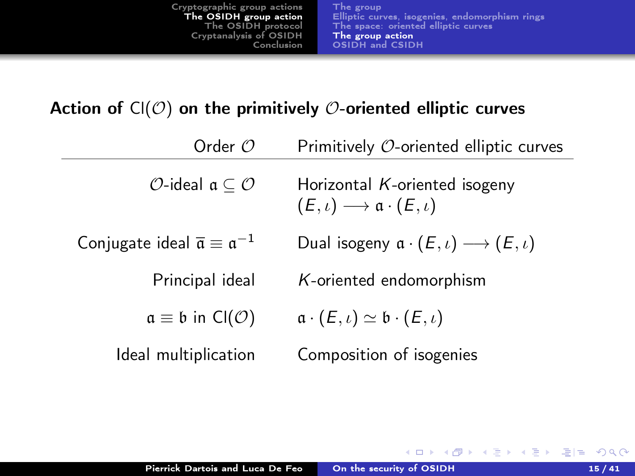### <span id="page-26-0"></span>Action of  $Cl(\mathcal{O})$  on the primitively  $\mathcal{O}$ -oriented elliptic curves

| Order $O$                                                          | Primitively O-oriented elliptic curves                                                       |  |
|--------------------------------------------------------------------|----------------------------------------------------------------------------------------------|--|
| $\mathcal{O}$ -ideal a $\subset \mathcal{O}$                       | Horizontal $K$ -oriented isogeny<br>$(E,\iota) \longrightarrow \mathfrak{a} \cdot (E,\iota)$ |  |
| Conjugate ideal $\overline{\mathfrak{a}} \equiv \mathfrak{a}^{-1}$ | Dual isogeny $\mathfrak{a} \cdot (E, \iota) \longrightarrow (E, \iota)$                      |  |
| Principal ideal                                                    | K-oriented endomorphism                                                                      |  |
| $a \equiv b$ in Cl(O)                                              | $a \cdot (E, \iota) \simeq b \cdot (E, \iota)$                                               |  |
| Ideal multiplication                                               | Composition of isogenies                                                                     |  |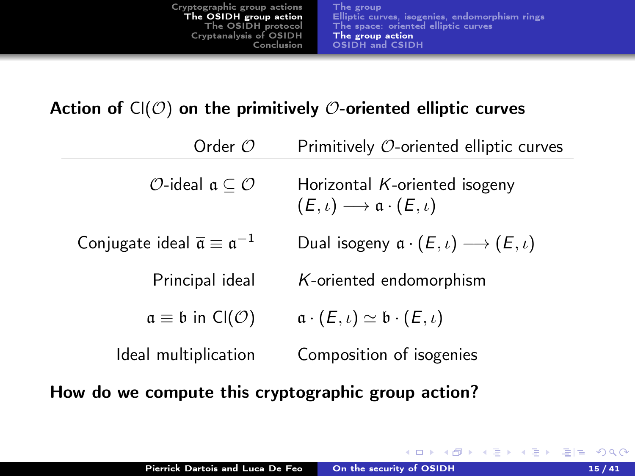#### <span id="page-27-0"></span>Action of  $CI(\mathcal{O})$  on the primitively  $\mathcal{O}$ -oriented elliptic curves

| Order $\mathcal O$                                                 | Primitively $\mathcal{O}$ -oriented elliptic curves                                          |  |
|--------------------------------------------------------------------|----------------------------------------------------------------------------------------------|--|
| $\mathcal{O}$ -ideal $\mathfrak{a} \subseteq \mathcal{O}$          | Horizontal $K$ -oriented isogeny<br>$(E,\iota) \longrightarrow \mathfrak{a} \cdot (E,\iota)$ |  |
| Conjugate ideal $\overline{\mathfrak{a}} \equiv \mathfrak{a}^{-1}$ | Dual isogeny $\mathfrak{a} \cdot (E, \iota) \longrightarrow (E, \iota)$                      |  |
| Principal ideal                                                    | K-oriented endomorphism                                                                      |  |
| $a \equiv b$ in Cl(O)                                              | $a \cdot (E, \iota) \simeq b \cdot (E, \iota)$                                               |  |
| Ideal multiplication                                               | Composition of isogenies                                                                     |  |

How do we compute this cryptographic group action?

 $\left\{ \begin{array}{ccc} 1 & 0 & 0 \\ 0 & 0 & 0 \end{array} \right\}$ 

化重变 化重变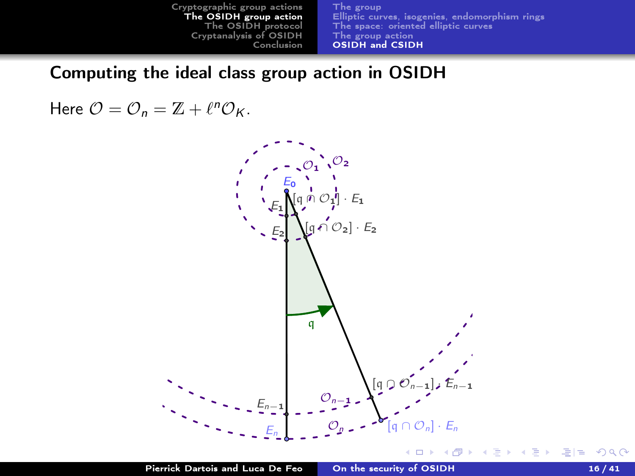<span id="page-28-0"></span>Computing the ideal class group action in OSIDH

Here  $\mathcal{O} = \mathcal{O}_n = \mathbb{Z} + \ell^n \mathcal{O}_K$ .



→ 手→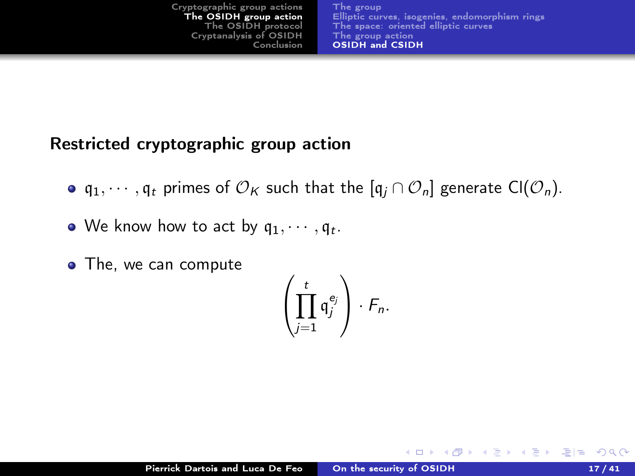| Cryptographic group actions | The group                                      |
|-----------------------------|------------------------------------------------|
| The OSIDH group action      | Elliptic curves, isogenies, endomorphism rings |
| The OSIDH protocol          | The space: oriented elliptic curves            |
| Cryptanalysis of OSIDH      | The group action                               |
| Conclusion                  | OSIDH and CSIDH                                |
|                             |                                                |

### Restricted cryptographic group action

- $\bullet$  q<sub>1</sub>,  $\cdots$ , q<sub>t</sub> primes of  $\mathcal{O}_K$  such that the  $[q_i \cap \mathcal{O}_n]$  generate Cl( $\mathcal{O}_n$ ).
- We know how to act by  $\mathfrak{q}_1,\cdots,\mathfrak{q}_t.$
- The, we can compute

$$
\left(\prod_{j=1}^t {\mathfrak{q}}_j^{e_j}\right)\cdot F_n.
$$

▶ 제품 ▶ 제품 ▶ [품]로 19 여0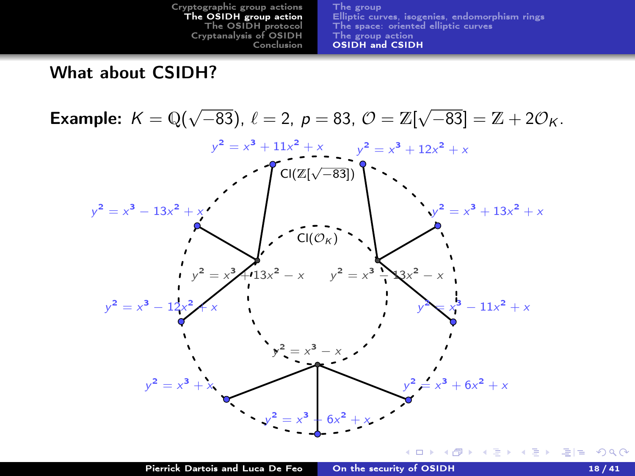

<span id="page-30-0"></span>What about CSIDH?

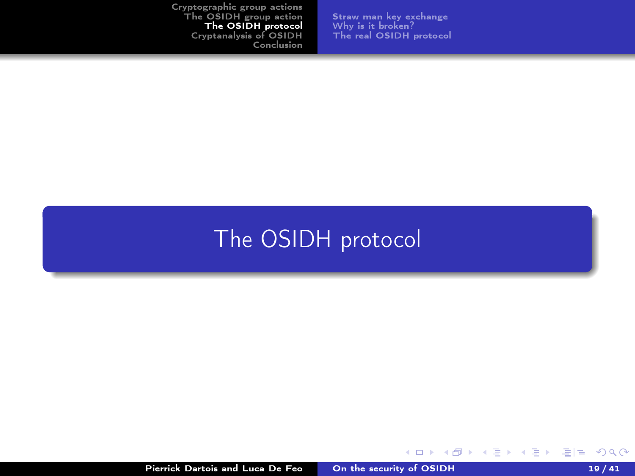[Straw man key exchange](#page-32-0) [Why is it broken?](#page-33-0) [The real OSIDH protocol](#page-34-0)

# <span id="page-31-0"></span>[The OSIDH protocol](#page-31-0)

K ロ ▶ K @ ▶ K 글 ▶ K 글 ▶ [로] = 19 Q Q ^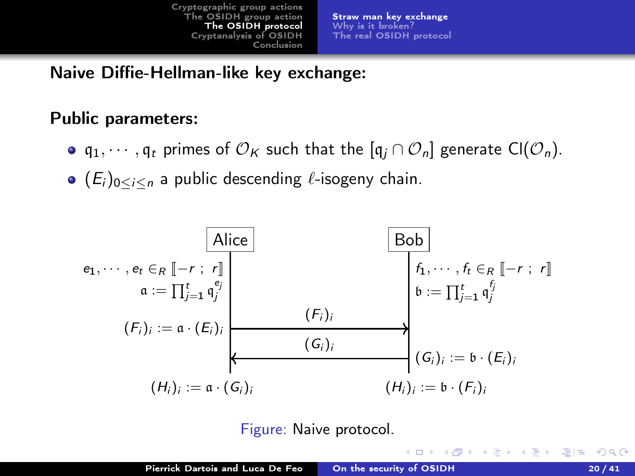[Straw man key exchange](#page-32-0) [Why is it broken?](#page-33-0) [The real OSIDH protocol](#page-34-0)

<span id="page-32-0"></span>Naive Diffie-Hellman-like key exchange:

#### Public parameters:

- $q_1, \dots, q_t$  primes of  $\mathcal{O}_K$  such that the  $[q_i \cap \mathcal{O}_n]$  generate Cl( $\mathcal{O}_n$ ).
- $\bullet$  ( $E_i$ )<sub>0</sub><*i*<*n* a public descending  $\ell$ -isogeny chain.



Figure: Naive protocol.

 $-1$   $-1$ 

KAP → K 트 → K 트 → 트 트 → 이익(^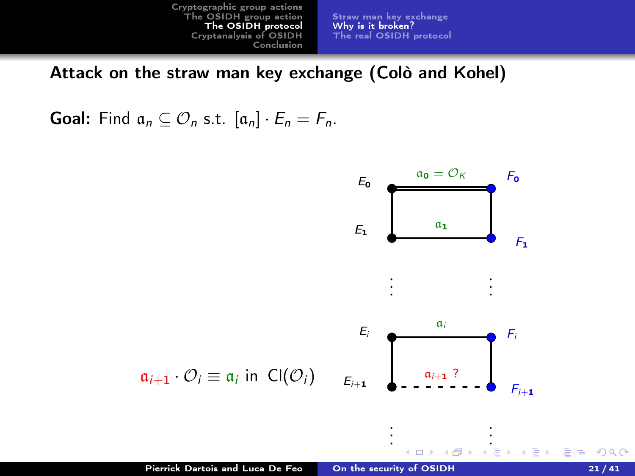[Straw man key exchange](#page-32-0) [Why is it broken?](#page-33-0) [The real OSIDH protocol](#page-34-0)

<span id="page-33-0"></span>Attack on the straw man key exchange (Colò and Kohel)

**Goal:** Find  $a_n \subseteq \mathcal{O}_n$  s.t.  $[a_n] \cdot E_n = F_n$ .

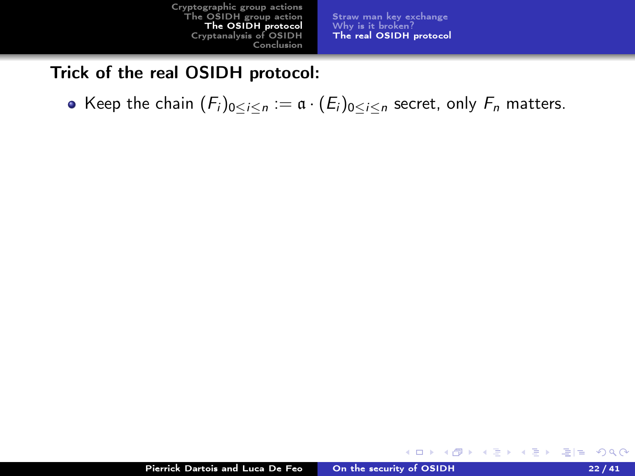[Straw man key exchange](#page-32-0) [Why is it broken?](#page-33-0) [The real OSIDH protocol](#page-35-0)

**K ロ ト K 何 ト** 

化重变 化重变性

#### <span id="page-34-0"></span>Trick of the real OSIDH protocol:

• Keep the chain  $(F_i)_{0 \leq i \leq n} := \mathfrak{a} \cdot (E_i)_{0 \leq i \leq n}$  secret, only  $F_n$  matters.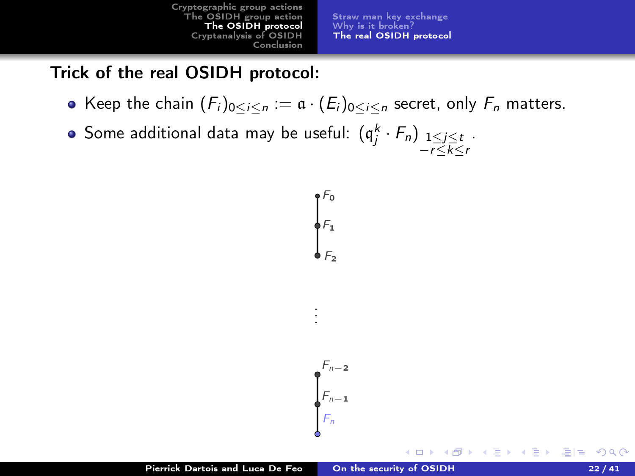[Straw man key exchange](#page-32-0) [Why is it broken?](#page-33-0) [The real OSIDH protocol](#page-34-0)

 $\leftarrow$   $\Box$ 

## <span id="page-35-0"></span>Trick of the real OSIDH protocol:

- Keep the chain  $(F_i)_{0 \leq i \leq n} := \mathfrak{a} \cdot (E_i)_{0 \leq i \leq n}$  secret, only  $F_n$  matters.
- Some additional data may be useful:  $(\mathfrak{q}^k_j \cdot F_n)_{\substack{1 \leq j \leq t \\ -r \leq k \leq r}}$ .



K@ ▶ K 경 K 경 K 경 제 경 9 Q Q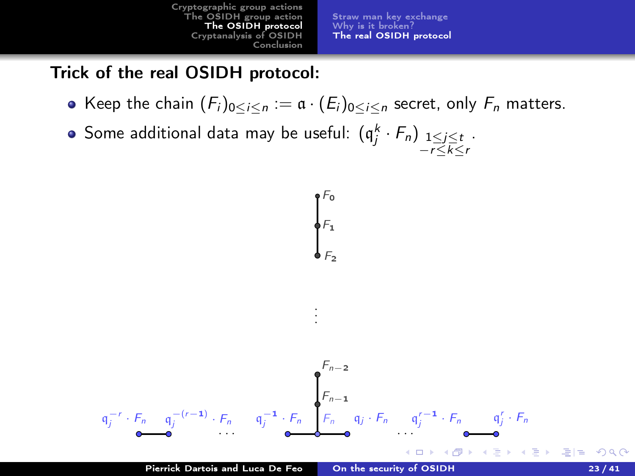[Straw man key exchange](#page-32-0) [Why is it broken?](#page-33-0) [The real OSIDH protocol](#page-34-0)

#### Trick of the real OSIDH protocol:

- Keep the chain  $(F_i)_{0 \leq i \leq n} := \mathfrak{a} \cdot (E_i)_{0 \leq i \leq n}$  secret, only  $F_n$  matters.
- Some additional data may be useful:  $(\mathfrak{q}^k_j \cdot F_n)_{\substack{1 \leq j \leq t \\ -r \leq k \leq r}}$ .

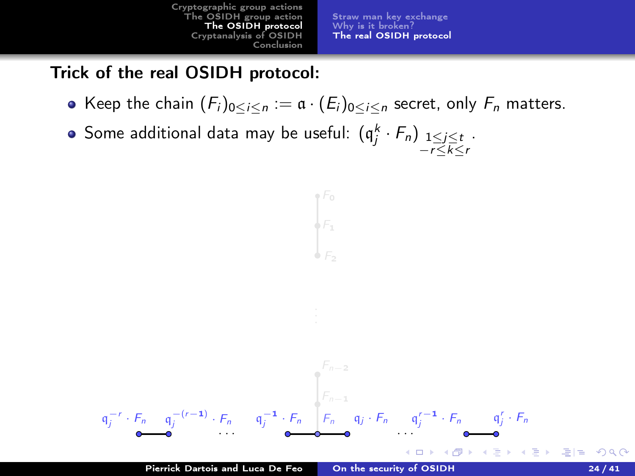[Straw man key exchange](#page-32-0) [Why is it broken?](#page-33-0) [The real OSIDH protocol](#page-34-0)

### Trick of the real OSIDH protocol:

- Keep the chain  $(F_i)_{0 \leq i \leq n} := \mathfrak{a} \cdot (E_i)_{0 \leq i \leq n}$  secret, only  $F_n$  matters.
- Some additional data may be useful:  $(\mathfrak{q}^k_j \cdot F_n)_{\substack{1 \leq j \leq t \\ -r \leq k \leq r}}$ .

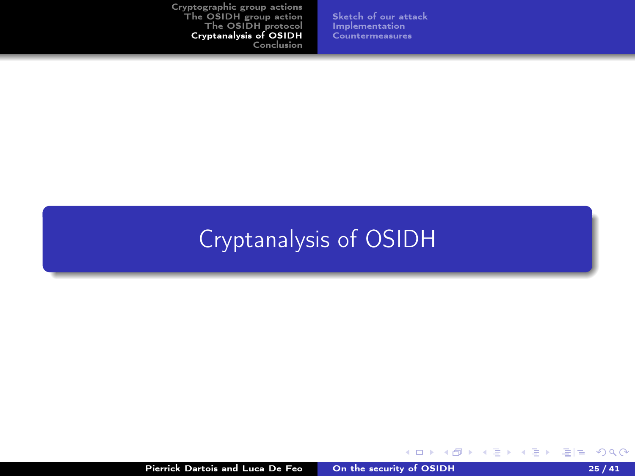[Sketch of our attack](#page-39-0) [Implementation](#page-52-0) [Countermeasures](#page-54-0)

# <span id="page-38-0"></span>[Cryptanalysis of OSIDH](#page-38-0)

K ロ ▶ K @ ▶ K 글 ▶ K 글 ▶ [로] = 19 Q Q ^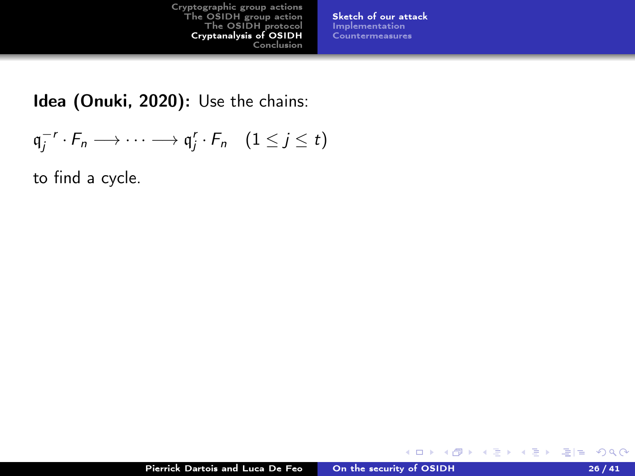[Sketch of our attack](#page-41-0) [Implementation](#page-52-0) [Countermeasures](#page-54-0)

<span id="page-39-0"></span>Idea (Onuki, 2020): Use the chains:

$$
\mathfrak{q}_j^{-r} \cdot F_n \longrightarrow \cdots \longrightarrow \mathfrak{q}_j^r \cdot F_n \quad (1 \leq j \leq t)
$$

to find a cycle.

 $\mathcal{A} \ \overline{\mathcal{B}} \ \rightarrow \ \ \mathcal{A} \ \overline{\mathcal{B}} \ \rightarrow \ \mathcal{A}$ 

**K ロ ト K 何 ト**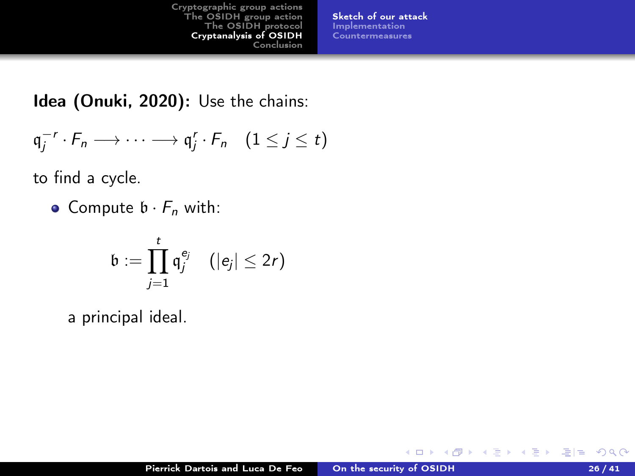[Sketch of our attack](#page-41-0) [Implementation](#page-52-0) [Countermeasures](#page-54-0)

Idea (Onuki, 2020): Use the chains:

$$
\mathfrak{q}_j^{-r} \cdot F_n \longrightarrow \cdots \longrightarrow \mathfrak{q}_j^r \cdot F_n \quad (1 \leq j \leq t)
$$

to find a cycle.

• Compute  $\mathfrak{b} \cdot F_n$  with:

$$
\mathfrak{b}:=\prod_{j=1}^t\mathfrak{q}_j^{e_j}\quad (|e_j|\leq 2r)
$$

a principal ideal.

4. 0. 8. ∢ 母 イヨメ イヨメ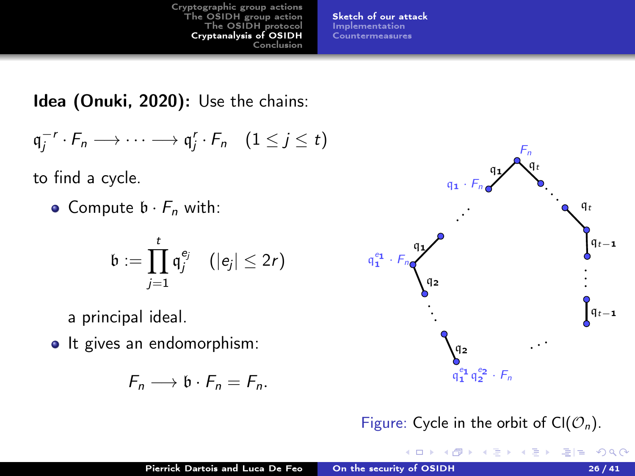[Sketch of our attack](#page-39-0) [Implementation](#page-52-0) [Countermeasures](#page-54-0)

<span id="page-41-0"></span>Idea (Onuki, 2020): Use the chains:

$$
\mathfrak{q}_j^{-r} \cdot F_n \longrightarrow \cdots \longrightarrow \mathfrak{q}_j^r \cdot F_n \quad (1 \leq j \leq t)
$$

to find a cycle.

• Compute  $\mathfrak{b} \cdot F_n$  with:

$$
\mathfrak{b}:=\prod_{j=1}^t\mathfrak{q}_j^{e_j}\quad (|e_j|\leq 2r)
$$

a principal ideal.

• It gives an endomorphism:

$$
F_n \longrightarrow \mathfrak{b} \cdot F_n = F_n.
$$



Figure: Cycle in the orbit of  $Cl(O_n)$ .

メ御き メミメ メミメ

重目 のへぐ

4 D F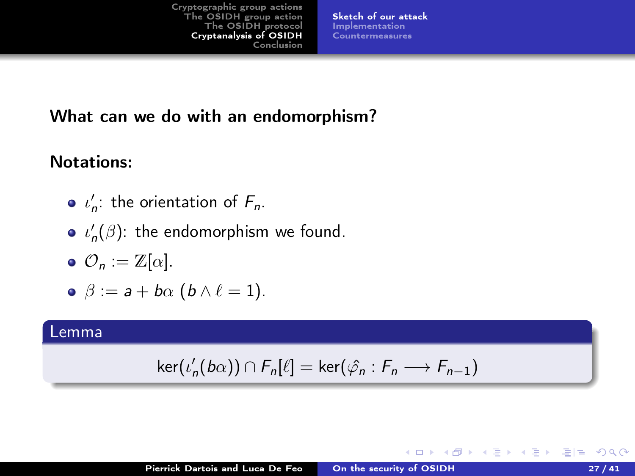[Sketch of our attack](#page-39-0) [Implementation](#page-52-0) [Countermeasures](#page-54-0)

### What can we do with an endomorphism?

#### Notations:

- $\iota'_n$ : the orientation of  $F_n$ .
- $\iota'_n(\beta)$ : the endomorphism we found.
- $\bullet \ \mathcal{O}_n := \mathbb{Z}[\alpha].$

$$
\bullet \ \beta := a + b\alpha \ (b \wedge \ell = 1).
$$

#### Lemma

$$
\ker(\iota'_n(b\alpha)) \cap F_n[\ell] = \ker(\hat{\varphi}_n : F_n \longrightarrow F_{n-1})
$$

K ロ K K R K K B X X B X B H B Y A Q C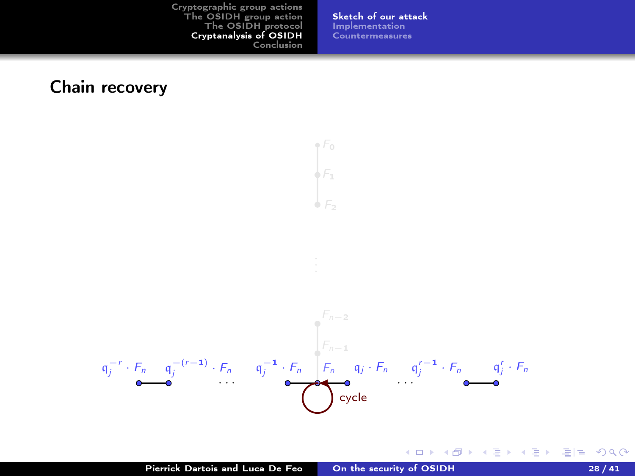[Sketch of our attack](#page-39-0) [Implementation](#page-52-0) [Countermeasures](#page-54-0)

#### Chain recovery



 $\circ$  F<sub>0</sub>  $\overline{F_1}$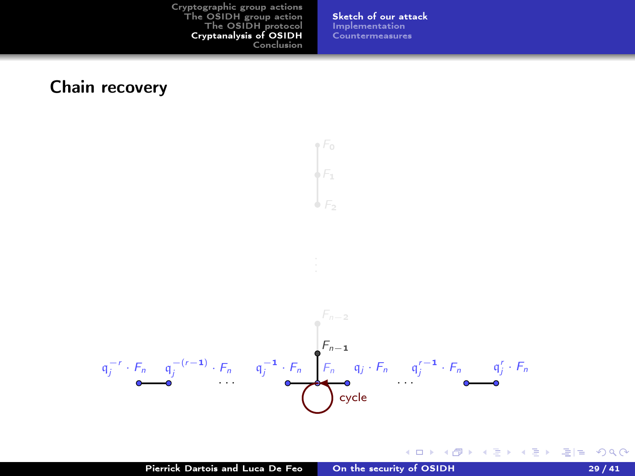[Sketch of our attack](#page-39-0) [Implementation](#page-52-0) [Countermeasures](#page-54-0)

#### Chain recovery



 $\circ$  F<sub>0</sub>  $\overline{F_1}$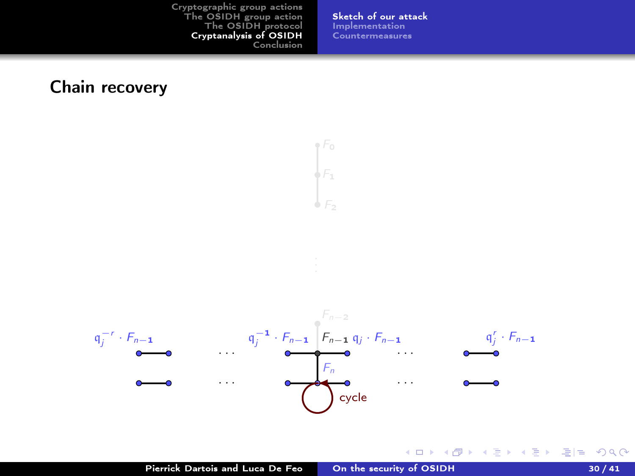[Sketch of our attack](#page-39-0) [Implementation](#page-52-0) [Countermeasures](#page-54-0)

#### Chain recovery



 $\circ$  F<sub>0</sub>  $\overline{F_1}$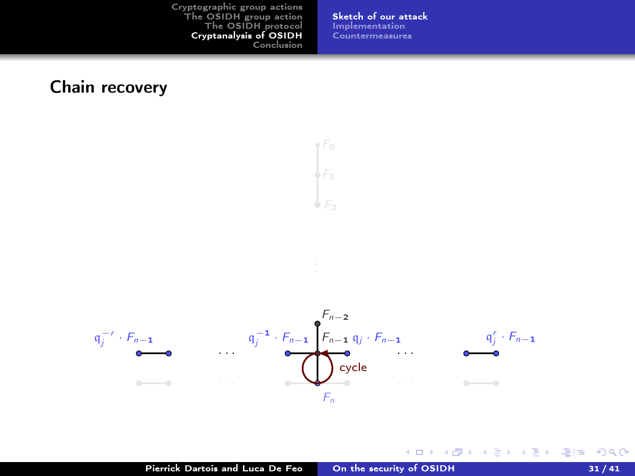[Sketch of our attack](#page-39-0) [Implementation](#page-52-0) [Countermeasures](#page-54-0)

#### Chain recovery



 $\circ$  F<sub>0</sub>  $\overline{F_1}$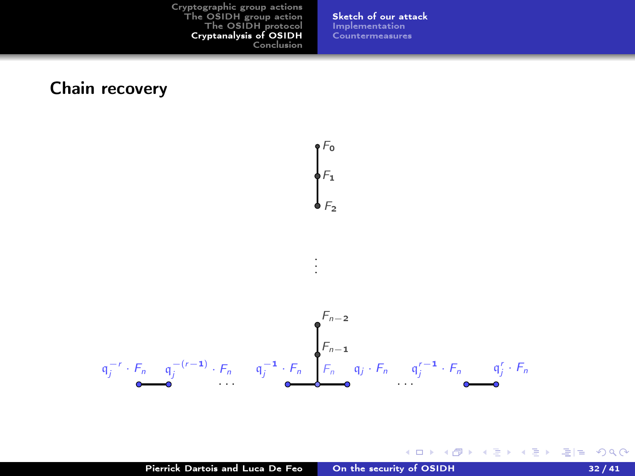[Sketch of our attack](#page-39-0) [Implementation](#page-52-0) [Countermeasures](#page-54-0)

#### Chain recovery

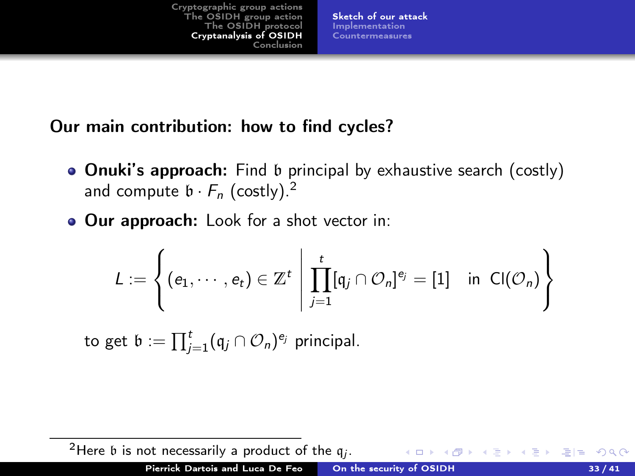[Sketch of our attack](#page-39-0) [Implementation](#page-52-0) [Countermeasures](#page-54-0)

#### Our main contribution: how to find cycles?

- Onuki's approach: Find b principal by exhaustive search (costly) and compute  $\mathfrak{b} \cdot F_n$  (costly).<sup>2</sup>
- **Our approach:** Look for a shot vector in:

$$
L := \left\{ (e_1, \cdots, e_t) \in \mathbb{Z}^t \; \middle| \; \prod_{j=1}^t [q_j \cap \mathcal{O}_n]^{e_j} = [1] \quad \text{in} \quad Cl(\mathcal{O}_n) \right\}
$$

to get  $\mathfrak{b} := \prod_{j=1}^t (\mathfrak{q}_j \cap \mathcal{O}_n)^{e_j}$  principal.

<sup>2</sup>Here  $\mathfrak b$  is not necessarily a product of the  $\mathfrak q_j$ .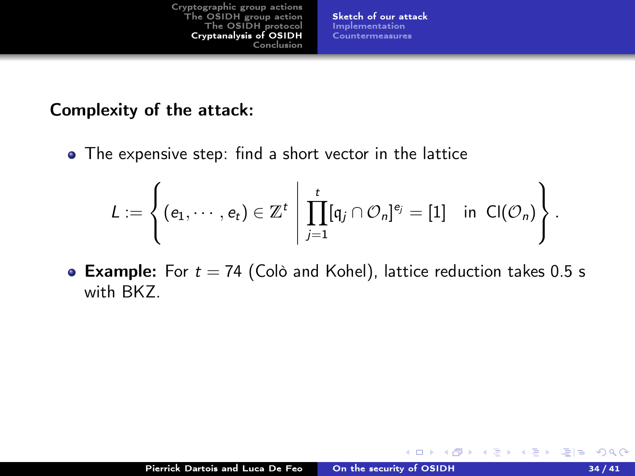[Sketch of our attack](#page-39-0) [Implementation](#page-52-0) [Countermeasures](#page-54-0)

#### Complexity of the attack:

• The expensive step: find a short vector in the lattice

$$
L := \left\{ (e_1, \cdots, e_t) \in \mathbb{Z}^t \; \middle| \; \prod_{j=1}^t [q_j \cap \mathcal{O}_n]^{e_j} = [1] \quad \text{in} \ \mathsf{Cl}(\mathcal{O}_n) \right\}.
$$

**Example:** For  $t = 74$  (Colò and Kohel), lattice reduction takes 0.5 s with BKZ.

4 0 8

 $\rightarrow$   $\equiv$   $\rightarrow$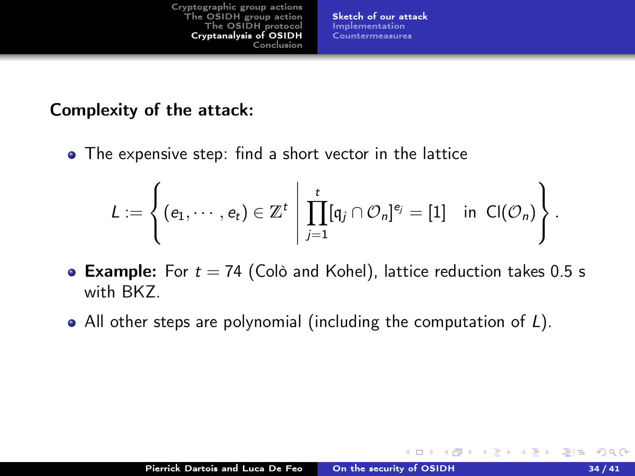[Sketch of our attack](#page-39-0) [Implementation](#page-52-0) [Countermeasures](#page-54-0)

#### Complexity of the attack:

• The expensive step: find a short vector in the lattice

$$
L := \left\{ (e_1, \cdots, e_t) \in \mathbb{Z}^t \; \middle| \; \prod_{j=1}^t [q_j \cap \mathcal{O}_n]^{e_j} = [1] \quad \text{in} \ \mathsf{Cl}(\mathcal{O}_n) \right\}.
$$

- **Example:** For  $t = 74$  (Colò and Kohel), lattice reduction takes 0.5 s with BKZ.
- All other steps are polynomial (including the computation of L).

4 000 100

 $\rightarrow$   $\equiv$   $\rightarrow$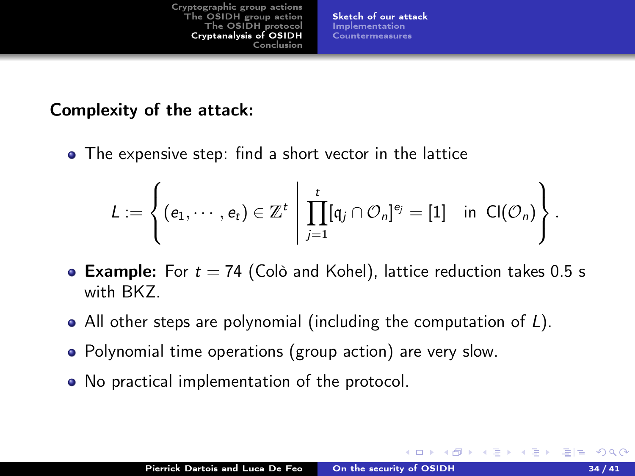[Sketch of our attack](#page-39-0) [Implementation](#page-52-0) [Countermeasures](#page-54-0)

#### Complexity of the attack:

The expensive step: find a short vector in the lattice

$$
L := \left\{ (e_1, \cdots, e_t) \in \mathbb{Z}^t \; \middle| \; \prod_{j=1}^t [q_j \cap \mathcal{O}_n]^{e_j} = [1] \quad \text{in} \ \mathsf{Cl}(\mathcal{O}_n) \right\}.
$$

- **Example:** For  $t = 74$  (Colò and Kohel), lattice reduction takes 0.5 s with BKZ.
- All other steps are polynomial (including the computation of L).
- Polynomial time operations (group action) are very slow.
- No practical implementation of the protocol.

 $-111$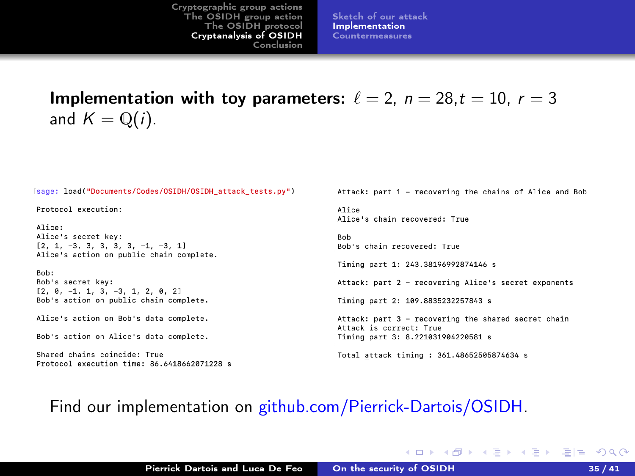[Sketch of our attack](#page-39-0) [Implementation](#page-52-0) [Countermeasures](#page-54-0)

<span id="page-52-0"></span>Implementation with toy parameters:  $\ell = 2$ ,  $n = 28$ ,  $t = 10$ ,  $r = 3$ and  $K = \mathbb{Q}(i)$ .

(sage: load("Documents/Codes/OSIDH/OSIDH attack tests.pv")

Protocol execution:

 $A11ce$ Alice's secret kev:  $[2, 1, -3, 3, 3, 3, 3, -1, -3, 1]$ Alice's action on public chain complete.

Rob: Bob's secret key:  $[2, 0, -1, 1, 3, -3, 1, 2, 0, 2]$ Bob's action on public chain complete.

Alice's action on Bob's data complete.

Bob's action on Alice's data complete.

Shared chains coincide: True Protocol execution time: 86.6418662071228 s Attack: part 1 - recovering the chains of Alice and Bob

Alice Alice's chain recovered: True

**Bob** Bob's chain recovered: True

Timing part 1: 243 38196992874146 s

Attack: part 2 - recovering Alice's secret exponents

Timing part 2: 109.8835232257843 s

Attack: part 3 - recovering the shared secret chain Attack is correct: True Timing part 3: 8.221031904220581 s

K □ ▶ K 何 ▶ K 글 ▶ K 글 ▶ [글] = 10 0 0 0

Total attack timing : 361.48652505874634 s

#### Find our implementation on [github.com/Pierrick-Dartois/OSIDH.](https://github.com/Pierrick-Dartois/OSIDH)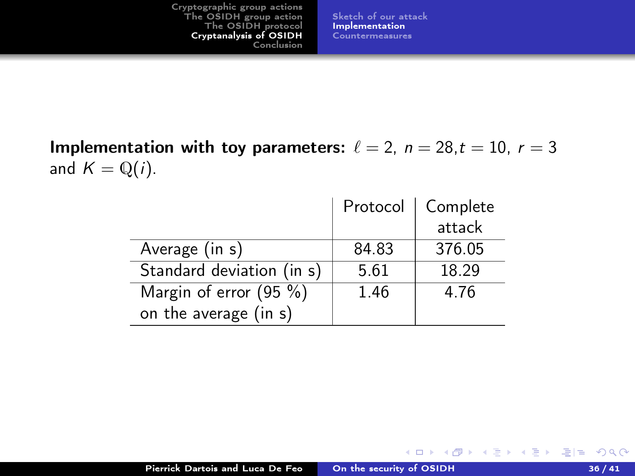[Sketch of our attack](#page-39-0) [Implementation](#page-52-0) [Countermeasures](#page-54-0)

Implementation with toy parameters:  $\ell = 2$ ,  $n = 28$ ,  $t = 10$ ,  $r = 3$ and  $K = \mathbb{Q}(i)$ .

|                           | Protocol | Complete |
|---------------------------|----------|----------|
|                           |          | attack   |
| Average (in s)            | 84.83    | 376.05   |
| Standard deviation (in s) | 5.61     | 18.29    |
| Margin of error $(95%)$   | 1.46     | 4.76     |
| on the average (in s)     |          |          |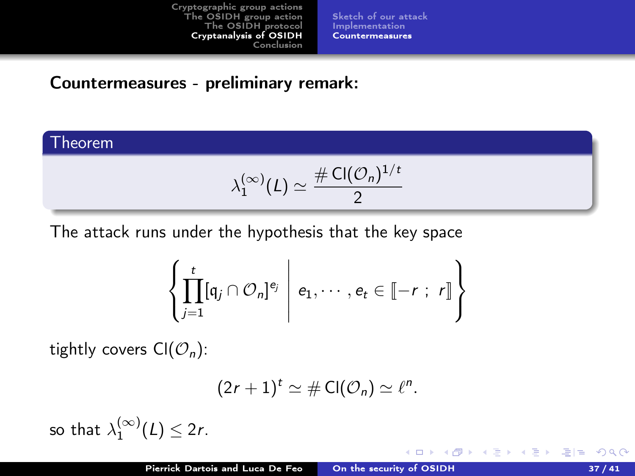[Sketch of our attack](#page-39-0) [Implementation](#page-52-0) [Countermeasures](#page-54-0)

#### <span id="page-54-0"></span>Countermeasures - preliminary remark:

#### Theorem

$$
\lambda_1^{(\infty)}(L) \simeq \frac{\# \operatorname{Cl}(\mathcal{O}_n)^{1/t}}{2}
$$

The attack runs under the hypothesis that the key space

$$
\left\{\prod_{j=1}^t [q_j\cap\mathcal{O}_n]^{e_j}\;\middle|\; e_1,\cdots,e_t\in\llbracket-r\;;\;r\rrbracket\right\}
$$

tightly covers  $Cl(\mathcal{O}_n)$ :

$$
(2r+1)^t \simeq \# \mathsf{Cl}(\mathcal{O}_n) \simeq \ell^n.
$$

4 D F

so that  $\lambda_1^{(\infty)}(L) \leq 2r$ .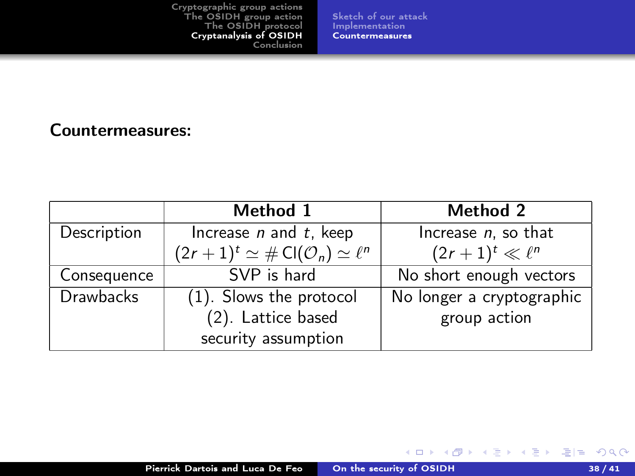[Sketch of our attack](#page-39-0) [Implementation](#page-52-0) [Countermeasures](#page-54-0)

Countermeasures:

|                  | Method 1                                                           | Method 2                  |
|------------------|--------------------------------------------------------------------|---------------------------|
| Description      | Increase $n$ and $t$ , keep                                        | Increase $n$ , so that    |
|                  | $(2r+1)^t \simeq # \operatorname{Cl}(\mathcal{O}_n) \simeq \ell^n$ | $(2r+1)^t \ll \ell^n$     |
| Consequence      | SVP is hard                                                        | No short enough vectors   |
| <b>Drawbacks</b> | (1). Slows the protocol                                            | No longer a cryptographic |
|                  | (2). Lattice based                                                 | group action              |
|                  | security assumption                                                |                           |

K ロ ▶ K @ ▶ K 글 ▶ K 글 ▶ [로] = 19 Q Q ^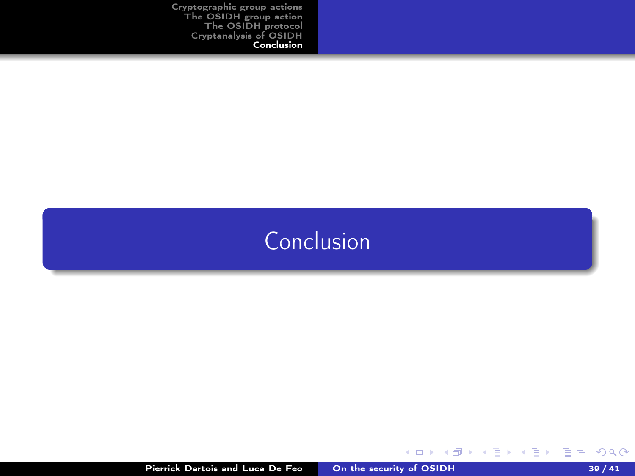# <span id="page-56-0"></span>[Conclusion](#page-56-0)

Pierrick Dartois and Luca De Feo [On the security of OSIDH](#page-0-0) 39 / 41

K ロ ▶ K @ ▶ K 글 ▶ K 글 ▶ [로] = 19 Q Q ^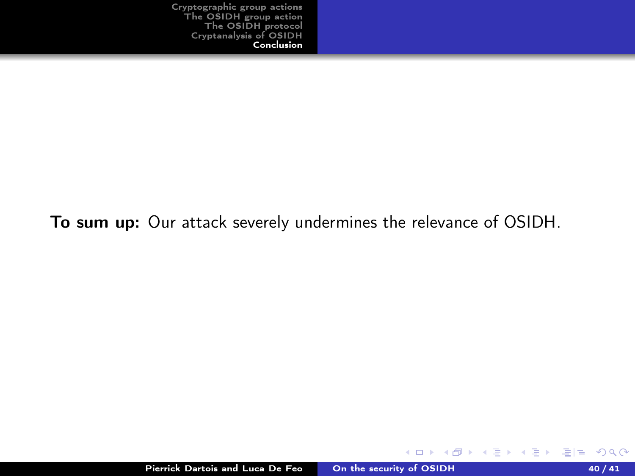#### To sum up: Our attack severely undermines the relevance of OSIDH.

**◆ ロ ▶ → イ 冊** 

 $\rightarrow$ 

不重 经不重 的